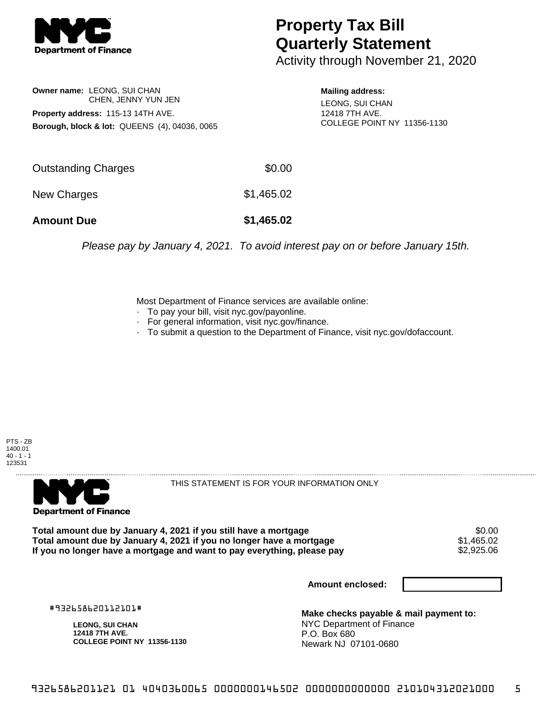

## **Property Tax Bill Quarterly Statement**

Activity through November 21, 2020

**Owner name:** LEONG, SUI CHAN CHEN, JENNY YUN JEN **Property address:** 115-13 14TH AVE. **Borough, block & lot:** QUEENS (4), 04036, 0065

**Mailing address:**

LEONG, SUI CHAN 12418 7TH AVE. COLLEGE POINT NY 11356-1130

| <b>Amount Due</b>   | \$1,465.02 |
|---------------------|------------|
| New Charges         | \$1,465.02 |
| Outstanding Charges | \$0.00     |

Please pay by January 4, 2021. To avoid interest pay on or before January 15th.

Most Department of Finance services are available online:

- · To pay your bill, visit nyc.gov/payonline.
- For general information, visit nyc.gov/finance.
- · To submit a question to the Department of Finance, visit nyc.gov/dofaccount.





THIS STATEMENT IS FOR YOUR INFORMATION ONLY

Total amount due by January 4, 2021 if you still have a mortgage **\$0.00** \$0.00<br>Total amount due by January 4, 2021 if you no longer have a mortgage **\$1,465.02 Total amount due by January 4, 2021 if you no longer have a mortgage**  $$1,465.02$ **<br>If you no longer have a mortgage and want to pay everything, please pay**  $$2,925.06$ If you no longer have a mortgage and want to pay everything, please pay

**Amount enclosed:**

#932658620112101#

**LEONG, SUI CHAN 12418 7TH AVE. COLLEGE POINT NY 11356-1130**

**Make checks payable & mail payment to:** NYC Department of Finance P.O. Box 680 Newark NJ 07101-0680